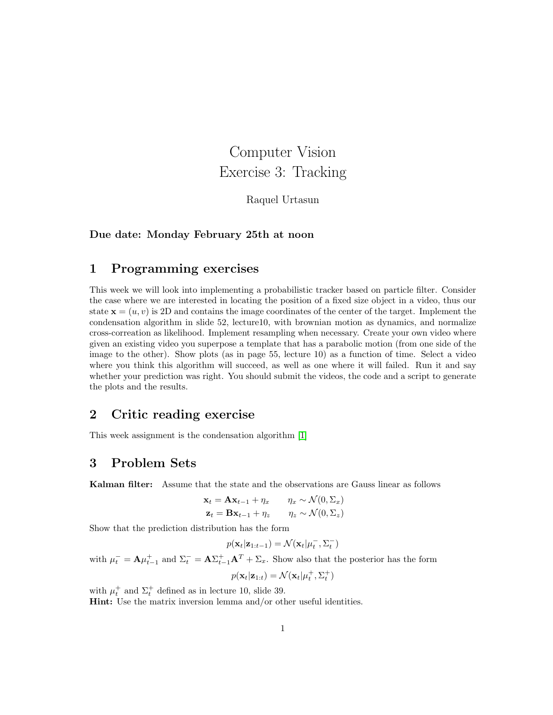# Computer Vision Exercise 3: Tracking

Raquel Urtasun

#### Due date: Monday February 25th at noon

#### 1 Programming exercises

This week we will look into implementing a probabilistic tracker based on particle filter. Consider the case where we are interested in locating the position of a fixed size object in a video, thus our state  $\mathbf{x} = (u, v)$  is 2D and contains the image coordinates of the center of the target. Implement the condensation algorithm in slide 52, lecture10, with brownian motion as dynamics, and normalize cross-correation as likelihood. Implement resampling when necessary. Create your own video where given an existing video you superpose a template that has a parabolic motion (from one side of the image to the other). Show plots (as in page 55, lecture 10) as a function of time. Select a video where you think this algorithm will succeed, as well as one where it will failed. Run it and say whether your prediction was right. You should submit the videos, the code and a script to generate the plots and the results.

#### 2 Critic reading exercise

This week assignment is the condensation algorithm [\[1\]](#page-1-0)

### 3 Problem Sets

Kalman filter: Assume that the state and the observations are Gauss linear as follows

$$
\mathbf{x}_t = \mathbf{A}\mathbf{x}_{t-1} + \eta_x \qquad \eta_x \sim \mathcal{N}(0, \Sigma_x)
$$
  

$$
\mathbf{z}_t = \mathbf{B}\mathbf{x}_{t-1} + \eta_z \qquad \eta_z \sim \mathcal{N}(0, \Sigma_z)
$$

Show that the prediction distribution has the form

$$
p(\mathbf{x}_t|\mathbf{z}_{1:t-1}) = \mathcal{N}(\mathbf{x}_t|\mu_t^-, \Sigma_t^-)
$$

with  $\mu_t^- = A \mu_{t-1}^+$  and  $\Sigma_t^- = A \Sigma_{t-1}^+ A^T + \Sigma_x$ . Show also that the posterior has the form

$$
p(\mathbf{x}_t|\mathbf{z}_{1:t}) = \mathcal{N}(\mathbf{x}_t|\mu_t^+, \Sigma_t^+)
$$

with  $\mu_t^+$  and  $\Sigma_t^+$  defined as in lecture 10, slide 39.

Hint: Use the matrix inversion lemma and/or other useful identities.